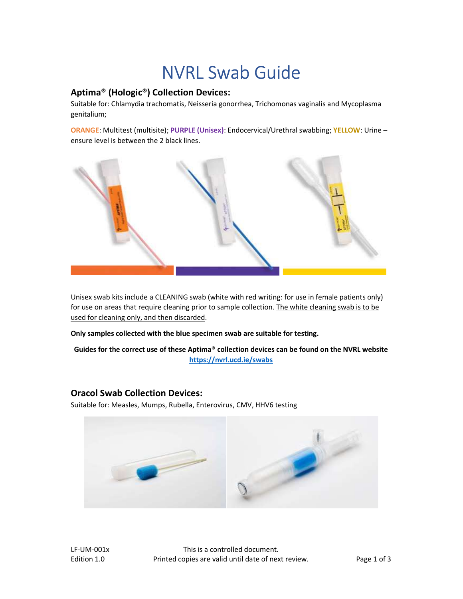# NVRL Swab Guide

### Aptima® (Hologic®) Collection Devices:

Suitable for: Chlamydia trachomatis, Neisseria gonorrhea, Trichomonas vaginalis and Mycoplasma genitalium;

ORANGE: Multitest (multisite); PURPLE (Unisex): Endocervical/Urethral swabbing; YELLOW: Urine ensure level is between the 2 black lines.



Unisex swab kits include a CLEANING swab (white with red writing: for use in female patients only) for use on areas that require cleaning prior to sample collection. The white cleaning swab is to be used for cleaning only, and then discarded.

Only samples collected with the blue specimen swab are suitable for testing.

Guides for the correct use of these Aptima® collection devices can be found on the NVRL website https://nvrl.ucd.ie/swabs

#### Oracol Swab Collection Devices:

Suitable for: Measles, Mumps, Rubella, Enterovirus, CMV, HHV6 testing



LF-UM-001x This is a controlled document. Edition 1.0 **Printed copies are valid until date of next review.** Page 1 of 3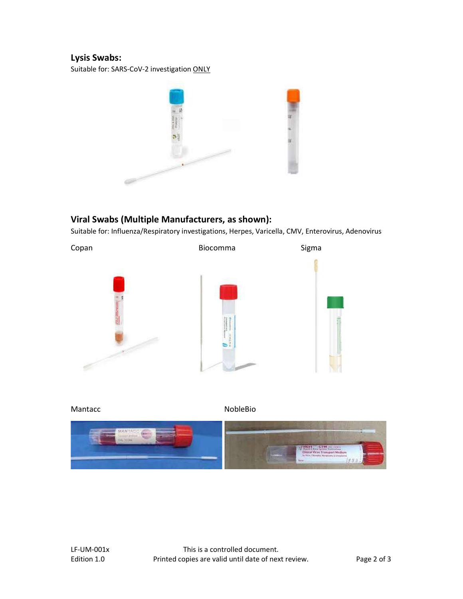## Lysis Swabs:

Suitable for: SARS-CoV-2 investigation ONLY



## Viral Swabs (Multiple Manufacturers, as shown):

Suitable for: Influenza/Respiratory investigations, Herpes, Varicella, CMV, Enterovirus, Adenovirus



Mantacc NobleBio